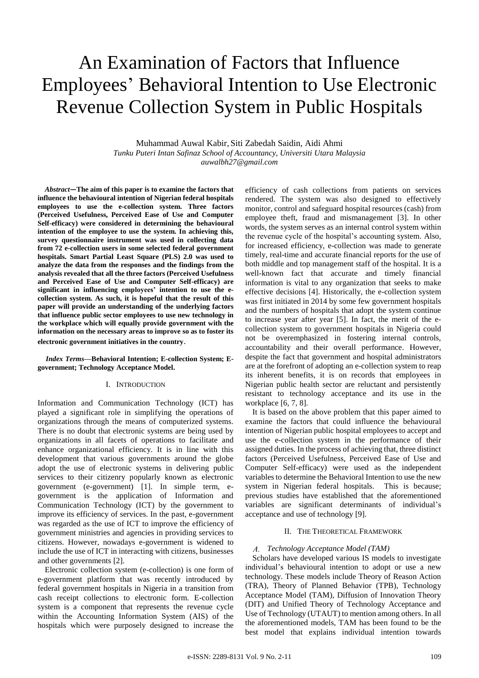# An Examination of Factors that Influence Employees' Behavioral Intention to Use Electronic Revenue Collection System in Public Hospitals

Muhammad Auwal Kabir, Siti Zabedah Saidin, Aidi Ahmi *Tunku Puteri Intan Safinaz School of Accountancy, Universiti Utara Malaysia auwalbh27@gmail.com*

*Abstract—***The aim of this paper is to examine the factors that influence the behavioural intention of Nigerian federal hospitals employees to use the e-collection system. Three factors (Perceived Usefulness, Perceived Ease of Use and Computer Self-efficacy) were considered in determining the behavioural intention of the employee to use the system. In achieving this, survey questionnaire instrument was used in collecting data from 72 e-collection users in some selected federal government hospitals. Smart Partial Least Square (PLS) 2.0 was used to analyze the data from the responses and the findings from the analysis revealed that all the three factors (Perceived Usefulness and Perceived Ease of Use and Computer Self-efficacy) are significant in influencing employees' intention to use the ecollection system. As such, it is hopeful that the result of this paper will provide an understanding of the underlying factors that influence public sector employees to use new technology in the workplace which will equally provide government with the information on the necessary areas to improve so as to foster its electronic government initiatives in the country**.

*Index Terms***—Behavioral Intention; E-collection System; Egovernment; Technology Acceptance Model.**

## I. INTRODUCTION

Information and Communication Technology (ICT) has played a significant role in simplifying the operations of organizations through the means of computerized systems. There is no doubt that electronic systems are being used by organizations in all facets of operations to facilitate and enhance organizational efficiency. It is in line with this development that various governments around the globe adopt the use of electronic systems in delivering public services to their citizenry popularly known as electronic government (e-government) [1]. In simple term, egovernment is the application of Information and Communication Technology (ICT) by the government to improve its efficiency of services. In the past, e-government was regarded as the use of ICT to improve the efficiency of government ministries and agencies in providing services to citizens. However, nowadays e-government is widened to include the use of ICT in interacting with citizens, businesses and other governments [2].

Electronic collection system (e-collection) is one form of e-government platform that was recently introduced by federal government hospitals in Nigeria in a transition from cash receipt collections to electronic form. E-collection system is a component that represents the revenue cycle within the Accounting Information System (AIS) of the hospitals which were purposely designed to increase the

efficiency of cash collections from patients on services rendered. The system was also designed to effectively monitor, control and safeguard hospital resources (cash) from employee theft, fraud and mismanagement [3]. In other words, the system serves as an internal control system within the revenue cycle of the hospital's accounting system. Also, for increased efficiency, e-collection was made to generate timely, real-time and accurate financial reports for the use of both middle and top management staff of the hospital. It is a well-known fact that accurate and timely financial information is vital to any organization that seeks to make effective decisions [4]. Historically, the e-collection system was first initiated in 2014 by some few government hospitals and the numbers of hospitals that adopt the system continue to increase year after year [5]. In fact, the merit of the ecollection system to government hospitals in Nigeria could not be overemphasized in fostering internal controls, accountability and their overall performance. However, despite the fact that government and hospital administrators are at the forefront of adopting an e-collection system to reap its inherent benefits, it is on records that employees in Nigerian public health sector are reluctant and persistently resistant to technology acceptance and its use in the workplace [6, 7, 8].

It is based on the above problem that this paper aimed to examine the factors that could influence the behavioural intention of Nigerian public hospital employees to accept and use the e-collection system in the performance of their assigned duties. In the process of achieving that, three distinct factors (Perceived Usefulness, Perceived Ease of Use and Computer Self-efficacy) were used as the independent variables to determine the Behavioral Intention to use the new system in Nigerian federal hospitals. This is because; previous studies have established that the aforementioned variables are significant determinants of individual's acceptance and use of technology [9].

## II. THE THEORETICAL FRAMEWORK

## *Technology Acceptance Model (TAM)*

Scholars have developed various IS models to investigate individual's behavioural intention to adopt or use a new technology. These models include Theory of Reason Action (TRA), Theory of Planned Behavior (TPB), Technology Acceptance Model (TAM), Diffusion of Innovation Theory (DIT) and Unified Theory of Technology Acceptance and Use of Technology (UTAUT) to mention among others. In all the aforementioned models, TAM has been found to be the best model that explains individual intention towards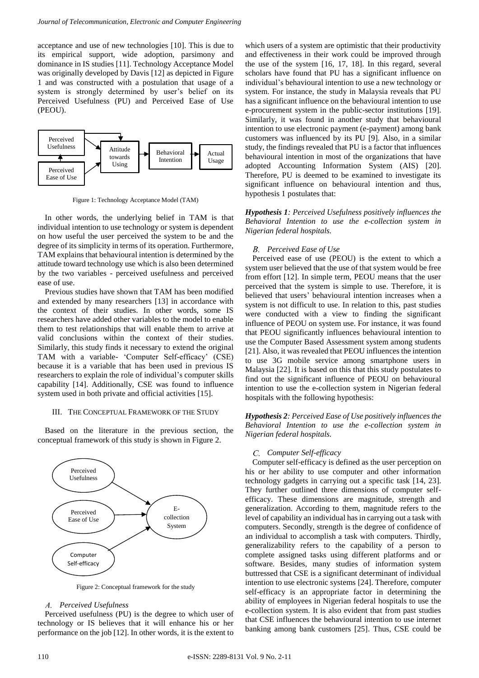acceptance and use of new technologies [10]. This is due to its empirical support, wide adoption, parsimony and dominance in IS studies [11]. Technology Acceptance Model was originally developed by Davis [12] as depicted in Figure 1 and was constructed with a postulation that usage of a system is strongly determined by user's belief on its Perceived Usefulness (PU) and Perceived Ease of Use (PEOU).



Figure 1: Technology Acceptance Model (TAM)

In other words, the underlying belief in TAM is that individual intention to use technology or system is dependent on how useful the user perceived the system to be and the degree of its simplicity in terms of its operation. Furthermore, TAM explains that behavioural intention is determined by the attitude toward technology use which is also been determined by the two variables - perceived usefulness and perceived ease of use.

Previous studies have shown that TAM has been modified and extended by many researchers [13] in accordance with the context of their studies. In other words, some IS researchers have added other variables to the model to enable them to test relationships that will enable them to arrive at valid conclusions within the context of their studies. Similarly, this study finds it necessary to extend the original TAM with a variable- 'Computer Self-efficacy' (CSE) because it is a variable that has been used in previous IS researchers to explain the role of individual's computer skills capability [14]. Additionally, CSE was found to influence system used in both private and official activities [15].

## III. THE CONCEPTUAL FRAMEWORK OF THE STUDY

Based on the literature in the previous section, the conceptual framework of this study is shown in Figure 2.



Figure 2: Conceptual framework for the study

#### *Perceived Usefulness*

Perceived usefulness (PU) is the degree to which user of technology or IS believes that it will enhance his or her performance on the job [12]. In other words, it is the extent to

which users of a system are optimistic that their productivity and effectiveness in their work could be improved through the use of the system [16, 17, 18]. In this regard, several scholars have found that PU has a significant influence on individual's behavioural intention to use a new technology or system. For instance, the study in Malaysia reveals that PU has a significant influence on the behavioural intention to use e-procurement system in the public-sector institutions [19]. Similarly, it was found in another study that behavioural intention to use electronic payment (e-payment) among bank customers was influenced by its PU [9]. Also, in a similar study, the findings revealed that PU is a factor that influences behavioural intention in most of the organizations that have adopted Accounting Information System (AIS) [20]. Therefore, PU is deemed to be examined to investigate its significant influence on behavioural intention and thus, hypothesis 1 postulates that:

*Hypothesis 1: Perceived Usefulness positively influences the Behavioral Intention to use the e-collection system in Nigerian federal hospitals.*

## *Perceived Ease of Use*

Perceived ease of use (PEOU) is the extent to which a system user believed that the use of that system would be free from effort [12]. In simple term, PEOU means that the user perceived that the system is simple to use. Therefore, it is believed that users' behavioural intention increases when a system is not difficult to use. In relation to this, past studies were conducted with a view to finding the significant influence of PEOU on system use. For instance, it was found that PEOU significantly influences behavioural intention to use the Computer Based Assessment system among students [21]. Also, it was revealed that PEOU influences the intention to use 3G mobile service among smartphone users in Malaysia [22]. It is based on this that this study postulates to find out the significant influence of PEOU on behavioural intention to use the e-collection system in Nigerian federal hospitals with the following hypothesis:

*Hypothesis 2: Perceived Ease of Use positively influences the Behavioral Intention to use the e-collection system in Nigerian federal hospitals.*

## *Computer Self-efficacy*

Computer self-efficacy is defined as the user perception on his or her ability to use computer and other information technology gadgets in carrying out a specific task [14, 23]. They further outlined three dimensions of computer selfefficacy. These dimensions are magnitude, strength and generalization. According to them, magnitude refers to the level of capability an individual has in carrying out a task with computers. Secondly, strength is the degree of confidence of an individual to accomplish a task with computers. Thirdly, generalizability refers to the capability of a person to complete assigned tasks using different platforms and or software. Besides, many studies of information system buttressed that CSE is a significant determinant of individual intention to use electronic systems [24]. Therefore, computer self-efficacy is an appropriate factor in determining the ability of employees in Nigerian federal hospitals to use the e-collection system. It is also evident that from past studies that CSE influences the behavioural intention to use internet banking among bank customers [25]. Thus, CSE could be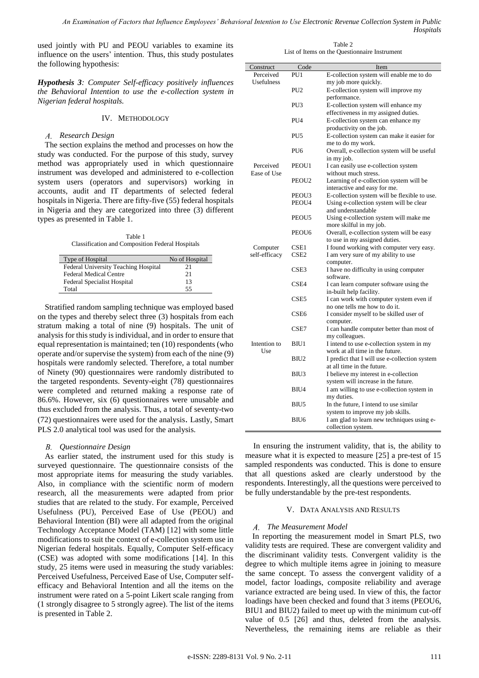used jointly with PU and PEOU variables to examine its influence on the users' intention. Thus, this study postulates the following hypothesis:

*Hypothesis 3: Computer Self-efficacy positively influences the Behavioral Intention to use the e-collection system in Nigerian federal hospitals.*

# IV. METHODOLOGY

## *Research Design*

The section explains the method and processes on how the study was conducted. For the purpose of this study, survey method was appropriately used in which questionnaire instrument was developed and administered to e-collection system users (operators and supervisors) working in accounts, audit and IT departments of selected federal hospitals in Nigeria. There are fifty-five (55) federal hospitals in Nigeria and they are categorized into three (3) different types as presented in Table 1.

Table 1 Classification and Composition Federal Hospitals

| Type of Hospital                     | No of Hospital |
|--------------------------------------|----------------|
| Federal University Teaching Hospital | 21             |
| <b>Federal Medical Centre</b>        | 21             |
| <b>Federal Specialist Hospital</b>   | 13             |
| Total                                | 55             |

Stratified random sampling technique was employed based on the types and thereby select three (3) hospitals from each stratum making a total of nine (9) hospitals. The unit of analysis for this study is individual, and in order to ensure that equal representation is maintained; ten (10) respondents (who operate and/or supervise the system) from each of the nine (9) hospitals were randomly selected. Therefore, a total number of Ninety (90) questionnaires were randomly distributed to the targeted respondents. Seventy-eight (78) questionnaires were completed and returned making a response rate of 86.6%. However, six (6) questionnaires were unusable and thus excluded from the analysis. Thus, a total of seventy-two (72) questionnaires were used for the analysis. Lastly, Smart PLS 2.0 analytical tool was used for the analysis.

# *Questionnaire Design*

As earlier stated, the instrument used for this study is surveyed questionnaire. The questionnaire consists of the most appropriate items for measuring the study variables. Also, in compliance with the scientific norm of modern research, all the measurements were adapted from prior studies that are related to the study. For example, Perceived Usefulness (PU), Perceived Ease of Use (PEOU) and Behavioral Intention (BI) were all adapted from the original Technology Acceptance Model (TAM) [12] with some little modifications to suit the context of e-collection system use in Nigerian federal hospitals. Equally, Computer Self-efficacy (CSE) was adopted with some modifications [14]. In this study, 25 items were used in measuring the study variables: Perceived Usefulness, Perceived Ease of Use, Computer selfefficacy and Behavioral Intention and all the items on the instrument were rated on a 5-point Likert scale ranging from (1 strongly disagree to 5 strongly agree). The list of the items is presented in Table 2.

Table 2 List of Items on the Questionnaire Instrument

| Construct         | Code              | Item                                                |
|-------------------|-------------------|-----------------------------------------------------|
| Perceived         | PU <sub>1</sub>   | E-collection system will enable me to do            |
| <b>Usefulness</b> |                   | my job more quickly.                                |
|                   | PU <sub>2</sub>   |                                                     |
|                   |                   | E-collection system will improve my<br>performance. |
|                   |                   |                                                     |
|                   | PU <sub>3</sub>   | E-collection system will enhance my                 |
|                   |                   | effectiveness in my assigned duties.                |
|                   | PU <sub>4</sub>   | E-collection system can enhance my                  |
|                   |                   | productivity on the job.                            |
|                   | PU <sub>5</sub>   | E-collection system can make it easier for          |
|                   |                   | me to do my work.                                   |
|                   | PU <sub>6</sub>   | Overall, e-collection system will be useful         |
|                   |                   | in my job.                                          |
| Perceived         | PEOU1             | I can easily use e-collection system                |
| Ease of Use       |                   | without much stress.                                |
|                   | PEOU <sub>2</sub> | Learning of e-collection system will be             |
|                   |                   | interactive and easy for me.                        |
|                   | PEOU3             | E-collection system will be flexible to use.        |
|                   | PEOU4             | Using e-collection system will be clear             |
|                   |                   | and understandable                                  |
|                   | PEOU5             | Using e-collection system will make me              |
|                   |                   | more skilful in my job.                             |
|                   | PEOU <sub>6</sub> | Overall, e-collection system will be easy           |
|                   |                   | to use in my assigned duties.                       |
| Computer          | CSE1              | I found working with computer very easy.            |
| self-efficacy     | CSE <sub>2</sub>  | I am very sure of my ability to use                 |
|                   |                   | computer.                                           |
|                   | CSE <sub>3</sub>  | I have no difficulty in using computer              |
|                   |                   | software.                                           |
|                   | CSE4              | I can learn computer software using the             |
|                   |                   | in-built help facility.                             |
|                   | CSE5              | I can work with computer system even if             |
|                   |                   | no one tells me how to do it.                       |
|                   | CSE6              | I consider myself to be skilled user of             |
|                   |                   | computer.                                           |
|                   | CSE7              | I can handle computer better than most of           |
|                   |                   | my colleagues.                                      |
| Intention to      | B <sub>IU1</sub>  | I intend to use e-collection system in my           |
| Use               |                   | work at all time in the future.                     |
|                   | BIU <sub>2</sub>  | I predict that I will use e-collection system       |
|                   |                   | at all time in the future.                          |
|                   | BIU3              | I believe my interest in e-collection               |
|                   |                   | system will increase in the future.                 |
|                   | BIU4              | I am willing to use e-collection system in          |
|                   |                   | my duties.                                          |
|                   |                   |                                                     |
|                   | BIU <sub>5</sub>  | In the future, I intend to use similar              |
|                   |                   | system to improve my job skills.                    |
|                   | BIU <sub>6</sub>  | I am glad to learn new techniques using e-          |
|                   |                   | collection system.                                  |

In ensuring the instrument validity, that is, the ability to measure what it is expected to measure [25] a pre-test of 15 sampled respondents was conducted. This is done to ensure that all questions asked are clearly understood by the respondents. Interestingly, all the questions were perceived to be fully understandable by the pre-test respondents.

# V. DATA ANALYSIS AND RESULTS

# *The Measurement Model*

In reporting the measurement model in Smart PLS, two validity tests are required. These are convergent validity and the discriminant validity tests. Convergent validity is the degree to which multiple items agree in joining to measure the same concept. To assess the convergent validity of a model, factor loadings, composite reliability and average variance extracted are being used. In view of this, the factor loadings have been checked and found that 3 items (PEOU6, BIU1 and BIU2) failed to meet up with the minimum cut-off value of 0.5 [26] and thus, deleted from the analysis. Nevertheless, the remaining items are reliable as their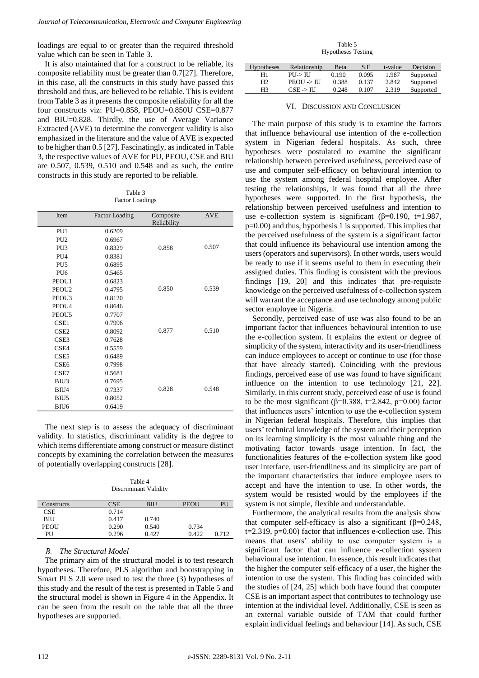loadings are equal to or greater than the required threshold value which can be seen in Table 3.

It is also maintained that for a construct to be reliable, its composite reliability must be greater than 0.7[27]. Therefore, in this case, all the constructs in this study have passed this threshold and thus, are believed to be reliable. This is evident from Table 3 as it presents the composite reliability for all the four constructs viz: PU=0.858, PEOU=0.850U CSE=0.877 and BIU=0.828. Thirdly, the use of Average Variance Extracted (AVE) to determine the convergent validity is also emphasized in the literature and the value of AVE is expected to be higher than 0.5 [27]. Fascinatingly, as indicated in Table 3, the respective values of AVE for PU, PEOU, CSE and BIU are 0.507, 0.539, 0.510 and 0.548 and as such, the entire constructs in this study are reported to be reliable.

Table 3 Factor Loadings

| Item              | <b>Factor Loading</b> | Composite<br>Reliability | <b>AVE</b> |
|-------------------|-----------------------|--------------------------|------------|
| PU1               | 0.6209                |                          |            |
| PU <sub>2</sub>   | 0.6967                |                          |            |
| PU <sub>3</sub>   | 0.8329                | 0.858                    | 0.507      |
| PU <sub>4</sub>   | 0.8381                |                          |            |
| PU <sub>5</sub>   | 0.6895                |                          |            |
| PU <sub>6</sub>   | 0.5465                |                          |            |
| PEOU1             | 0.6823                |                          |            |
| PEOU <sub>2</sub> | 0.4795                | 0.850                    | 0.539      |
| PEOU3             | 0.8120                |                          |            |
| PEOU4             | 0.8646                |                          |            |
| PEOU <sub>5</sub> | 0.7707                |                          |            |
| CSE1              | 0.7996                |                          |            |
| CSE <sub>2</sub>  | 0.8092                | 0.877                    | 0.510      |
| CSE <sub>3</sub>  | 0.7628                |                          |            |
| CSE4              | 0.5559                |                          |            |
| CSE <sub>5</sub>  | 0.6489                |                          |            |
| CSE <sub>6</sub>  | 0.7998                |                          |            |
| CSE7              | 0.5681                |                          |            |
| BIU3              | 0.7695                |                          |            |
| BIU4              | 0.7337                | 0.828                    | 0.548      |
| BIU5              | 0.8052                |                          |            |
| BIU <sub>6</sub>  | 0.6419                |                          |            |

The next step is to assess the adequacy of discriminant validity. In statistics, discriminant validity is the degree to which items differentiate among construct or measure distinct concepts by examining the correlation between the measures of potentially overlapping constructs [28].

Table 4 Discriminant Validity

| Constructs | <b>CSE</b> | <b>BIU</b> | <b>PEOU</b> | PU    |
|------------|------------|------------|-------------|-------|
| <b>CSE</b> | 0.714      |            |             |       |
| <b>BIU</b> | 0.417      | 0.740      |             |       |
| PEOU       | 0.290      | 0.540      | 0.734       |       |
| PU         | 0.296      | 0.427      | 0.422       | 0.712 |

## *The Structural Model*

The primary aim of the structural model is to test research hypotheses. Therefore, PLS algorithm and bootstrapping in Smart PLS 2.0 were used to test the three (3) hypotheses of this study and the result of the test is presented in Table 5 and the structural model is shown in Figure 4 in the Appendix. It can be seen from the result on the table that all the three hypotheses are supported.

Table 5 Hypotheses Testing

| <b>Hypotheses</b> | Relationship          | Beta  | S.E   | t-value | Decision  |
|-------------------|-----------------------|-------|-------|---------|-----------|
| H1                | P U > U               | 0.190 | 0.095 | 1.987   | Supported |
| Н2                | $PEOU \rightarrow HJ$ | 0.388 | 0.137 | 2.842   | Supported |
| H <sub>3</sub>    | $CSE \rightarrow HJ$  | 0.248 | 0.107 | 2.319   | Supported |

## VI. DISCUSSION AND CONCLUSION

The main purpose of this study is to examine the factors that influence behavioural use intention of the e-collection system in Nigerian federal hospitals. As such, three hypotheses were postulated to examine the significant relationship between perceived usefulness, perceived ease of use and computer self-efficacy on behavioural intention to use the system among federal hospital employee. After testing the relationships, it was found that all the three hypotheses were supported. In the first hypothesis, the relationship between perceived usefulness and intention to use e-collection system is significant ( $\beta$ =0.190, t=1.987, p=0.00) and thus, hypothesis 1 is supported. This implies that the perceived usefulness of the system is a significant factor that could influence its behavioural use intention among the users (operators and supervisors). In other words, users would be ready to use if it seems useful to them in executing their assigned duties. This finding is consistent with the previous findings [19, 20] and this indicates that pre-requisite knowledge on the perceived usefulness of e-collection system will warrant the acceptance and use technology among public sector employee in Nigeria.

Secondly, perceived ease of use was also found to be an important factor that influences behavioural intention to use the e-collection system. It explains the extent or degree of simplicity of the system, interactivity and its user-friendliness can induce employees to accept or continue to use (for those that have already started). Coinciding with the previous findings, perceived ease of use was found to have significant influence on the intention to use technology [21, 22]. Similarly, in this current study, perceived ease of use is found to be the most significant ( $\beta$ =0.388, t=2.842, p=0.00) factor that influences users' intention to use the e-collection system in Nigerian federal hospitals. Therefore, this implies that users' technical knowledge of the system and their perception on its learning simplicity is the most valuable thing and the motivating factor towards usage intention. In fact, the functionalities features of the e-collection system like good user interface, user-friendliness and its simplicity are part of the important characteristics that induce employee users to accept and have the intention to use. In other words, the system would be resisted would by the employees if the system is not simple, flexible and understandable.

Furthermore, the analytical results from the analysis show that computer self-efficacy is also a significant (β=0.248, t=2.319, p=0.00) factor that influences e-collection use. This means that users' ability to use computer system is a significant factor that can influence e-collection system behavioural use intention. In essence, this result indicates that the higher the computer self-efficacy of a user, the higher the intention to use the system. This finding has coincided with the studies of [24, 25] which both have found that computer CSE is an important aspect that contributes to technology use intention at the individual level. Additionally, CSE is seen as an external variable outside of TAM that could further explain individual feelings and behaviour [14]. As such, CSE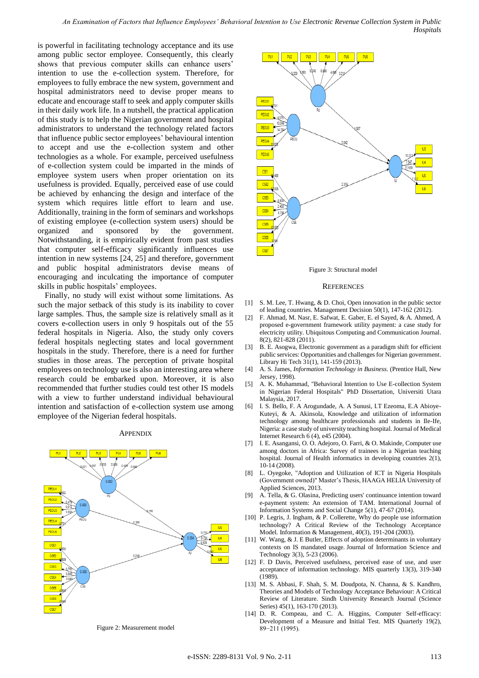is powerful in facilitating technology acceptance and its use among public sector employee. Consequently, this clearly shows that previous computer skills can enhance users' intention to use the e-collection system. Therefore, for employees to fully embrace the new system, government and hospital administrators need to devise proper means to educate and encourage staff to seek and apply computer skills in their daily work life. In a nutshell, the practical application of this study is to help the Nigerian government and hospital administrators to understand the technology related factors that influence public sector employees' behavioural intention to accept and use the e-collection system and other technologies as a whole. For example, perceived usefulness of e-collection system could be imparted in the minds of employee system users when proper orientation on its usefulness is provided. Equally, perceived ease of use could be achieved by enhancing the design and interface of the system which requires little effort to learn and use. Additionally, training in the form of seminars and workshops of existing employee (e-collection system users) should be organized and sponsored by the government. Notwithstanding, it is empirically evident from past studies that computer self-efficacy significantly influences use intention in new systems [24, 25] and therefore, government and public hospital administrators devise means of encouraging and inculcating the importance of computer skills in public hospitals' employees.

Finally, no study will exist without some limitations. As such the major setback of this study is its inability to cover large samples. Thus, the sample size is relatively small as it covers e-collection users in only 9 hospitals out of the 55 federal hospitals in Nigeria. Also, the study only covers federal hospitals neglecting states and local government hospitals in the study. Therefore, there is a need for further studies in those areas. The perception of private hospital employees on technology use is also an interesting area where research could be embarked upon. Moreover, it is also recommended that further studies could test other IS models with a view to further understand individual behavioural intention and satisfaction of e-collection system use among employee of the Nigerian federal hospitals.

## **APPENDIX**



Figure 2: Measurement model



Figure 3: Structural model

#### **REFERENCES**

- [1] S. M. Lee, T. Hwang, & D. Choi, Open innovation in the public sector of leading countries. Management Decision 50(1), 147-162 (2012).
- [2] F. Ahmad, M. Nasr, E. Safwat, E. Gaber, E. el Sayed, & A. Ahmed, A proposed e-government framework utility payment: a case study for electricity utility. Ubiquitous Computing and Communication Journal. 8(2), 821-828 (2011).
- [3] B. E. Asogwa, Electronic government as a paradigm shift for efficient public services: Opportunities and challenges for Nigerian government. Library Hi Tech 31(1), 141-159 (2013).
- [4] A. S. James, *Information Technology in Business.* (Prentice Hall, New Jersey, 1998).
- [5] A. K. Muhammad, "Behavioral Intention to Use E-collection System in Nigerian Federal Hospitals" PhD Dissertation, Universiti Utara Malaysia, 2017.
- [6] I. S. Bello, F. A Arogundade, A. A Sunusi, I.T Ezeoma, E.A Abioye-Kuteyi, & A. Akinsola, Knowledge and utilization of information technology among healthcare professionals and students in Ile-Ife, Nigeria: a case study of university teaching hospital. Journal of Medical Internet Research 6 (4), e45 (2004).
- [7] I. E. Asangansi, O. O. Adejoro, O. Farri, & O. Makinde, Computer use among doctors in Africa: Survey of trainees in a Nigerian teaching hospital. Journal of Health informatics in developing countries 2(1), 10-14 (2008).
- [8] L. Oyegoke, "Adoption and Utilization of ICT in Nigeria Hospitals (Government owned)" Master's Thesis, HAAGA HELIA University of Applied Sciences, 2013.
- [9] A. Tella, & G. Olasina, Predicting users' continuance intention toward e-payment system: An extension of TAM. International Journal of Information Systems and Social Change 5(1), 47-67 (2014).
- [10] P. Legris, J. Ingham, & P. Collerette, Why do people use information technology? A Critical Review of the Technology Acceptance Model. Information & Management, 40(3), 191-204 (2003).
- [11] W. Wang, & J. E Butler, Effects of adoption determinants in voluntary contexts on IS mandated usage. Journal of Information Science and Technology 3(3), 5-23 (2006).
- [12] F. D Davis, Perceived usefulness, perceived ease of use, and user acceptance of information technology. MIS quarterly 13(3), 319-340 (1989).
- [13] M. S. Abbasi, F. Shah, S. M. Doudpota, N. Channa, & S. Kandhro, Theories and Models of Technology Acceptance Behaviour: A Critical Review of Literature. Sindh University Research Journal (Science Series) 45(1), 163-170 (2013).
- [14] D. R. Compeau, and C. A. Higgins, Computer Self-efficacy: Development of a Measure and Initial Test. MIS Quarterly 19(2), 89−211 (1995).